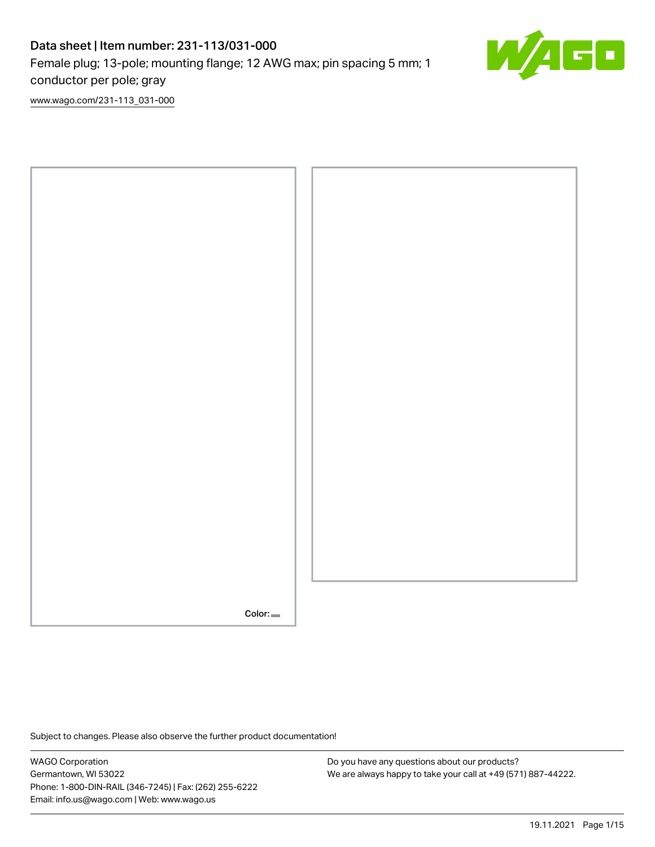# Data sheet | Item number: 231-113/031-000 Female plug; 13-pole; mounting flange; 12 AWG max; pin spacing 5 mm; 1 conductor per pole; gray



[www.wago.com/231-113\\_031-000](http://www.wago.com/231-113_031-000)



Subject to changes. Please also observe the further product documentation!

WAGO Corporation Germantown, WI 53022 Phone: 1-800-DIN-RAIL (346-7245) | Fax: (262) 255-6222 Email: info.us@wago.com | Web: www.wago.us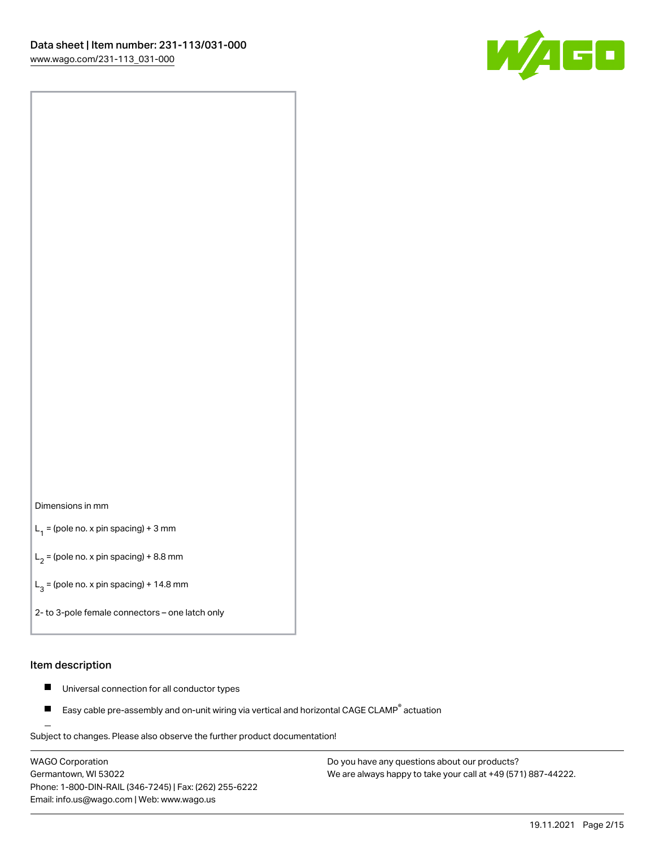

#### Dimensions in mm

 $L_1$  = (pole no. x pin spacing) + 3 mm

 $L_2$  = (pole no. x pin spacing) + 8.8 mm

 $L_3$  = (pole no. x pin spacing) + 14.8 mm

2- to 3-pole female connectors – one latch only

#### Item description

- $\blacksquare$ Universal connection for all conductor types
- Easy cable pre-assembly and on-unit wiring via vertical and horizontal CAGE CLAMP<sup>®</sup> actuation П

.<br>Subject to changes. Please also observe the further product documentation!

WAGO Corporation Germantown, WI 53022 Phone: 1-800-DIN-RAIL (346-7245) | Fax: (262) 255-6222 Email: info.us@wago.com | Web: www.wago.us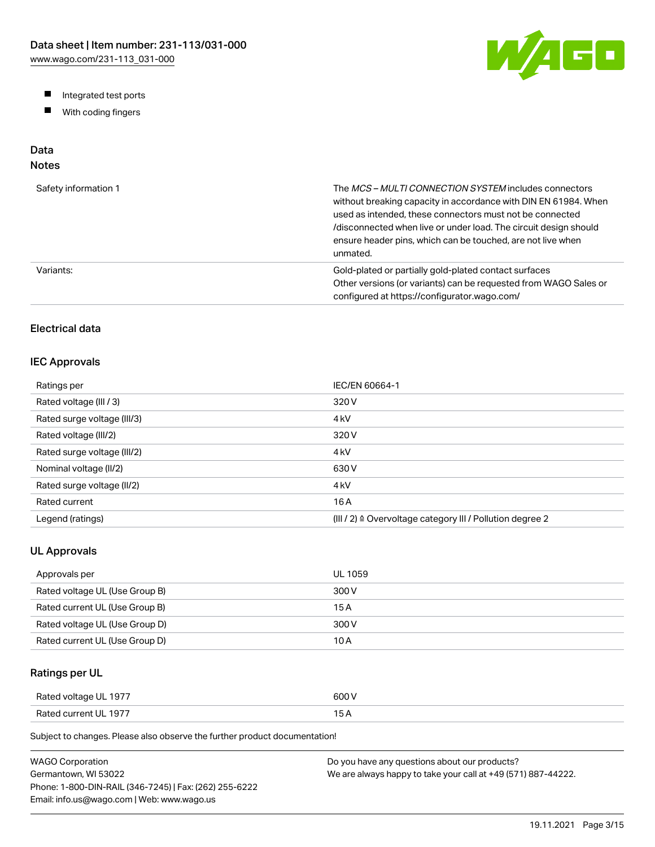W/AGO

- Integrated test ports
- $\blacksquare$ With coding fingers

# Data

## Notes

| Safety information 1 | The MCS-MULTI CONNECTION SYSTEM includes connectors<br>without breaking capacity in accordance with DIN EN 61984. When<br>used as intended, these connectors must not be connected<br>/disconnected when live or under load. The circuit design should<br>ensure header pins, which can be touched, are not live when<br>unmated. |
|----------------------|-----------------------------------------------------------------------------------------------------------------------------------------------------------------------------------------------------------------------------------------------------------------------------------------------------------------------------------|
| Variants:            | Gold-plated or partially gold-plated contact surfaces<br>Other versions (or variants) can be requested from WAGO Sales or<br>configured at https://configurator.wago.com/                                                                                                                                                         |

## Electrical data

#### IEC Approvals

| Ratings per                 | IEC/EN 60664-1                                                        |
|-----------------------------|-----------------------------------------------------------------------|
| Rated voltage (III / 3)     | 320 V                                                                 |
| Rated surge voltage (III/3) | 4 <sub>kV</sub>                                                       |
| Rated voltage (III/2)       | 320 V                                                                 |
| Rated surge voltage (III/2) | 4 <sub>k</sub> V                                                      |
| Nominal voltage (II/2)      | 630 V                                                                 |
| Rated surge voltage (II/2)  | 4 <sub>k</sub> V                                                      |
| Rated current               | 16 A                                                                  |
| Legend (ratings)            | $(III / 2)$ $\triangle$ Overvoltage category III / Pollution degree 2 |

#### UL Approvals

| Approvals per                  | <b>UL 1059</b> |
|--------------------------------|----------------|
| Rated voltage UL (Use Group B) | 300 V          |
| Rated current UL (Use Group B) | 15 A           |
| Rated voltage UL (Use Group D) | 300 V          |
| Rated current UL (Use Group D) | 10 A           |

### Ratings per UL

| Rated voltage UL 1977 | 600 V  |
|-----------------------|--------|
| Rated current UL 1977 | $\sim$ |

Subject to changes. Please also observe the further product documentation!

| WAGO Corporation                                       | Do you have any questions about our products?                 |
|--------------------------------------------------------|---------------------------------------------------------------|
| Germantown. WI 53022                                   | We are always happy to take your call at +49 (571) 887-44222. |
| Phone: 1-800-DIN-RAIL (346-7245)   Fax: (262) 255-6222 |                                                               |
| Email: info.us@wago.com   Web: www.wago.us             |                                                               |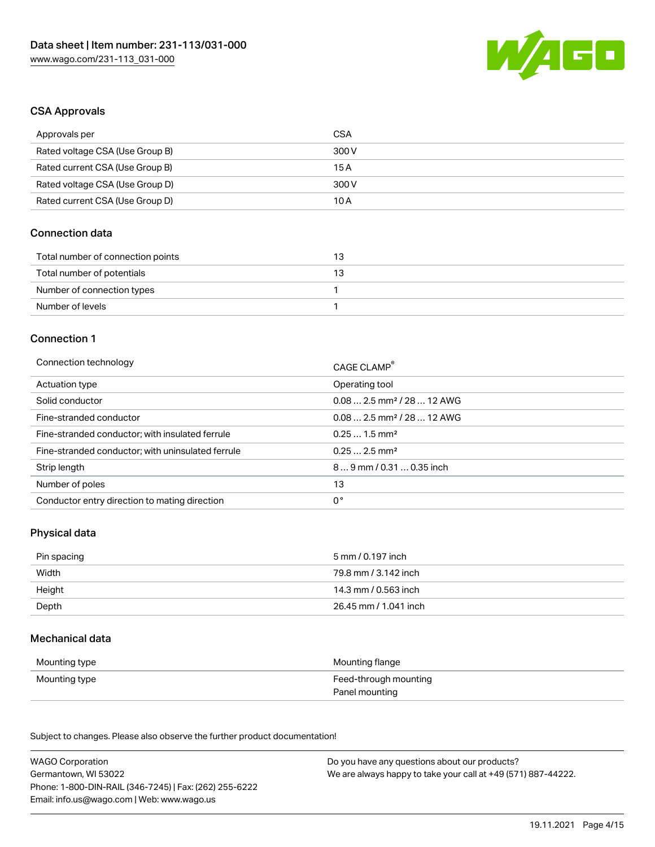

#### CSA Approvals

| Approvals per                   | CSA   |
|---------------------------------|-------|
| Rated voltage CSA (Use Group B) | 300 V |
| Rated current CSA (Use Group B) | 15 A  |
| Rated voltage CSA (Use Group D) | 300 V |
| Rated current CSA (Use Group D) | 10 A  |

## Connection data

| Total number of connection points | 13. |
|-----------------------------------|-----|
| Total number of potentials        | -13 |
| Number of connection types        |     |
| Number of levels                  |     |

#### Connection 1

| Connection technology                             | CAGE CLAMP®                            |
|---------------------------------------------------|----------------------------------------|
| Actuation type                                    | Operating tool                         |
| Solid conductor                                   | $0.082.5$ mm <sup>2</sup> / 28  12 AWG |
| Fine-stranded conductor                           | $0.082.5$ mm <sup>2</sup> / 28  12 AWG |
| Fine-stranded conductor; with insulated ferrule   | $0.251.5$ mm <sup>2</sup>              |
| Fine-stranded conductor; with uninsulated ferrule | $0.252.5$ mm <sup>2</sup>              |
| Strip length                                      | $89$ mm / 0.31  0.35 inch              |
| Number of poles                                   | 13                                     |
| Conductor entry direction to mating direction     | 0°                                     |

## Physical data

| Pin spacing | 5 mm / 0.197 inch     |
|-------------|-----------------------|
| Width       | 79.8 mm / 3.142 inch  |
| Height      | 14.3 mm / 0.563 inch  |
| Depth       | 26.45 mm / 1.041 inch |

#### Mechanical data

| Mounting type | Mounting flange       |
|---------------|-----------------------|
| Mounting type | Feed-through mounting |
|               | Panel mounting        |

Subject to changes. Please also observe the further product documentation!

| <b>WAGO Corporation</b>                                | Do you have any questions about our products?                 |
|--------------------------------------------------------|---------------------------------------------------------------|
| Germantown, WI 53022                                   | We are always happy to take your call at +49 (571) 887-44222. |
| Phone: 1-800-DIN-RAIL (346-7245)   Fax: (262) 255-6222 |                                                               |
| Email: info.us@wago.com   Web: www.wago.us             |                                                               |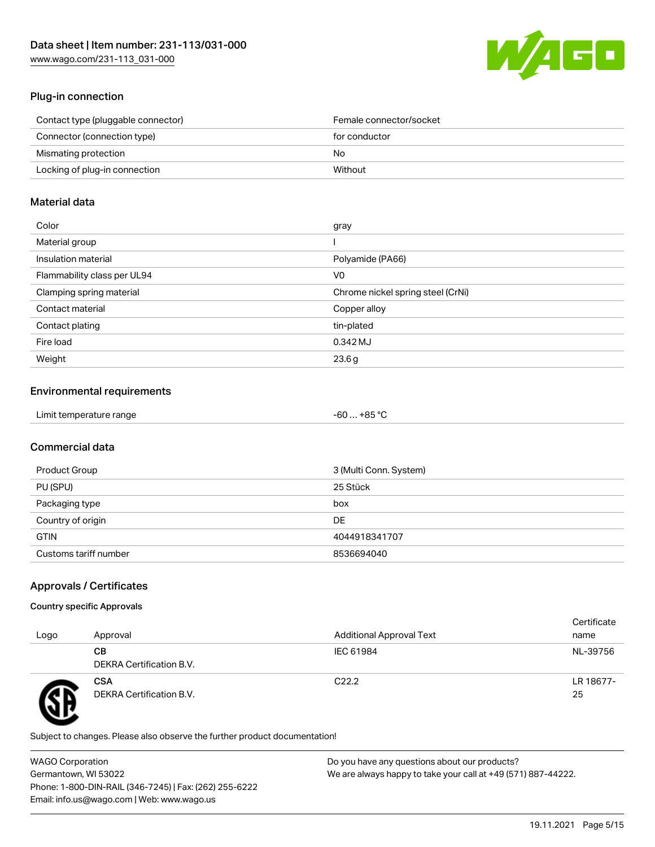

## Plug-in connection

| Contact type (pluggable connector) | Female connector/socket |
|------------------------------------|-------------------------|
| Connector (connection type)        | for conductor           |
| Mismating protection               | No.                     |
| Locking of plug-in connection      | Without                 |

#### Material data

| Color                       | gray                              |
|-----------------------------|-----------------------------------|
| Material group              |                                   |
| Insulation material         | Polyamide (PA66)                  |
| Flammability class per UL94 | V0                                |
| Clamping spring material    | Chrome nickel spring steel (CrNi) |
| Contact material            | Copper alloy                      |
| Contact plating             | tin-plated                        |
| Fire load                   | 0.342 MJ                          |
| Weight                      | 23.6g                             |

## Environmental requirements

| Limit temperature range<br>.<br>. | . +85 °ົ<br>-60 |  |
|-----------------------------------|-----------------|--|
|-----------------------------------|-----------------|--|

## Commercial data

| Product Group         | 3 (Multi Conn. System) |
|-----------------------|------------------------|
| PU (SPU)              | 25 Stück               |
| Packaging type        | box                    |
| Country of origin     | DE                     |
| <b>GTIN</b>           | 4044918341707          |
| Customs tariff number | 8536694040             |

## Approvals / Certificates

#### Country specific Approvals

| Logo | Approval                               | <b>Additional Approval Text</b> | Certificate<br>name |
|------|----------------------------------------|---------------------------------|---------------------|
|      | CВ<br>DEKRA Certification B.V.         | IEC 61984                       | NL-39756            |
|      | <b>CSA</b><br>DEKRA Certification B.V. | C <sub>22.2</sub>               | LR 18677-<br>25     |

Subject to changes. Please also observe the further product documentation!

WAGO Corporation Germantown, WI 53022 Phone: 1-800-DIN-RAIL (346-7245) | Fax: (262) 255-6222 Email: info.us@wago.com | Web: www.wago.us Do you have any questions about our products? We are always happy to take your call at +49 (571) 887-44222.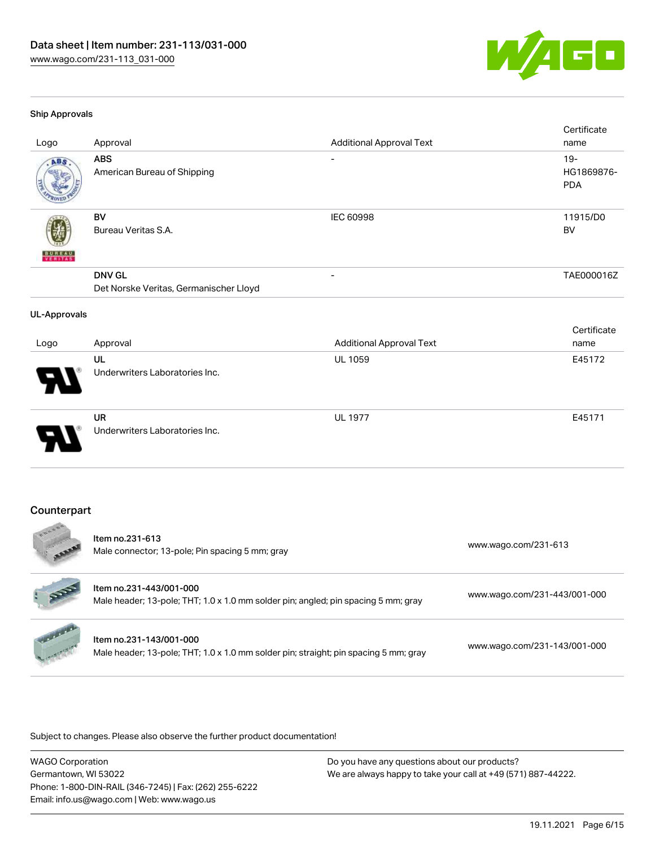

#### Ship Approvals

 $\frac{1}{2}$ 

| Logo                     | Approval                                                | <b>Additional Approval Text</b> | Certificate<br>name                |
|--------------------------|---------------------------------------------------------|---------------------------------|------------------------------------|
| ABS                      | <b>ABS</b><br>American Bureau of Shipping               | $\overline{\phantom{a}}$        | $19 -$<br>HG1869876-<br><b>PDA</b> |
| <b>BUNEAU</b><br>VERITAS | <b>BV</b><br>Bureau Veritas S.A.                        | IEC 60998                       | 11915/D0<br><b>BV</b>              |
|                          | <b>DNV GL</b><br>Det Norske Veritas, Germanischer Lloyd |                                 | TAE000016Z                         |
| <b>UL-Approvals</b>      |                                                         |                                 |                                    |
| Logo                     | Approval                                                | <b>Additional Approval Text</b> | Certificate<br>name                |
|                          | UL<br>Underwriters Laboratories Inc.                    | UL 1059                         | E45172                             |
|                          | <b>UR</b><br>Underwriters Laboratories Inc.             | <b>UL 1977</b>                  | E45171                             |
| Counterpart<br>$-0.66$   |                                                         |                                 |                                    |

| <b>AREA</b>             | Item no.231-613<br>Male connector; 13-pole; Pin spacing 5 mm; gray                                              | www.wago.com/231-613         |
|-------------------------|-----------------------------------------------------------------------------------------------------------------|------------------------------|
| RE                      | Item no.231-443/001-000<br>Male header; 13-pole; THT; 1.0 x 1.0 mm solder pin; angled; pin spacing 5 mm; gray   | www.wago.com/231-443/001-000 |
| <b>Marian Carpenter</b> | Item no.231-143/001-000<br>Male header; 13-pole; THT; 1.0 x 1.0 mm solder pin; straight; pin spacing 5 mm; gray | www.wago.com/231-143/001-000 |

Subject to changes. Please also observe the further product documentation!

WAGO Corporation Germantown, WI 53022 Phone: 1-800-DIN-RAIL (346-7245) | Fax: (262) 255-6222 Email: info.us@wago.com | Web: www.wago.us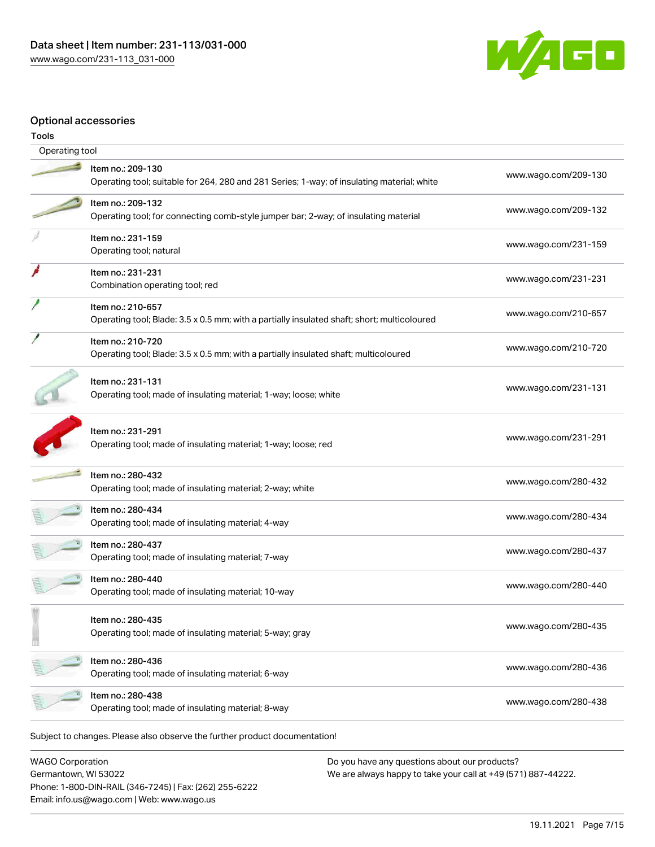

#### Optional accessories

| Tools          |                                                                                                                  |                      |
|----------------|------------------------------------------------------------------------------------------------------------------|----------------------|
| Operating tool |                                                                                                                  |                      |
|                | Item no.: 209-130<br>Operating tool; suitable for 264, 280 and 281 Series; 1-way; of insulating material; white  | www.wago.com/209-130 |
|                | Item no.: 209-132<br>Operating tool; for connecting comb-style jumper bar; 2-way; of insulating material         | www.wago.com/209-132 |
|                | Item no.: 231-159<br>Operating tool; natural                                                                     | www.wago.com/231-159 |
|                | Item no.: 231-231<br>Combination operating tool; red                                                             | www.wago.com/231-231 |
|                | Item no.: 210-657<br>Operating tool; Blade: 3.5 x 0.5 mm; with a partially insulated shaft; short; multicoloured | www.wago.com/210-657 |
|                | Item no.: 210-720<br>Operating tool; Blade: 3.5 x 0.5 mm; with a partially insulated shaft; multicoloured        | www.wago.com/210-720 |
|                | Item no.: 231-131<br>Operating tool; made of insulating material; 1-way; loose; white                            | www.wago.com/231-131 |
|                | Item no.: 231-291<br>Operating tool; made of insulating material; 1-way; loose; red                              | www.wago.com/231-291 |
|                | Item no.: 280-432<br>Operating tool; made of insulating material; 2-way; white                                   | www.wago.com/280-432 |
|                | Item no.: 280-434<br>Operating tool; made of insulating material; 4-way                                          | www.wago.com/280-434 |
|                | Item no.: 280-437<br>Operating tool; made of insulating material; 7-way                                          | www.wago.com/280-437 |
|                | Item no.: 280-440<br>Operating tool; made of insulating material; 10-way                                         | www.wago.com/280-440 |
|                | Item no.: 280-435<br>Operating tool; made of insulating material; 5-way; gray                                    | www.wago.com/280-435 |
|                | Item no.: 280-436<br>Operating tool; made of insulating material; 6-way                                          | www.wago.com/280-436 |
|                | Item no.: 280-438<br>Operating tool; made of insulating material; 8-way                                          | www.wago.com/280-438 |
|                | Subject to changes. Please also observe the further product documentation!                                       |                      |

WAGO Corporation Germantown, WI 53022 Phone: 1-800-DIN-RAIL (346-7245) | Fax: (262) 255-6222 Email: info.us@wago.com | Web: www.wago.us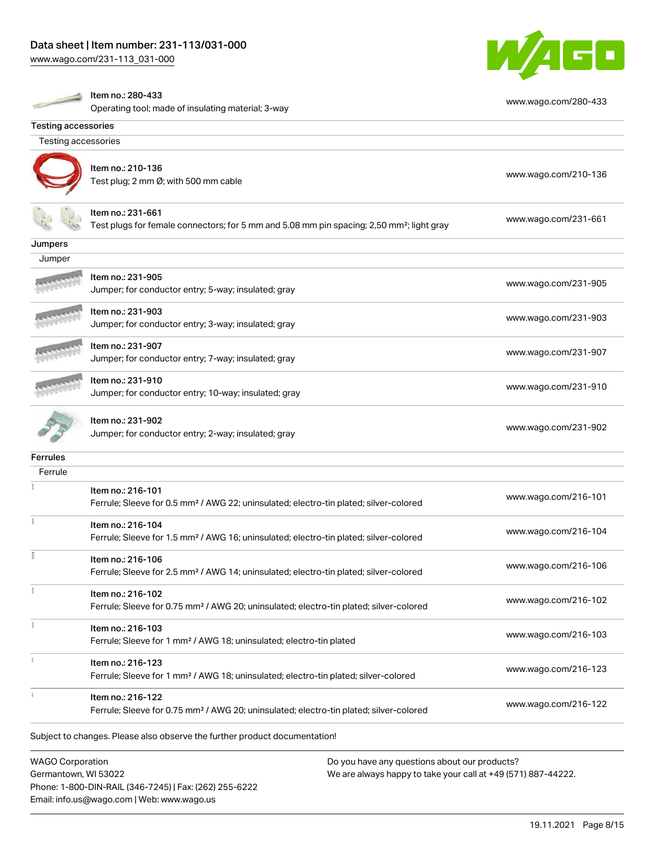[www.wago.com/231-113\\_031-000](http://www.wago.com/231-113_031-000)



|                            | Item no.: 280-433<br>Operating tool; made of insulating material; 3-way                                                    | www.wago.com/280-433 |
|----------------------------|----------------------------------------------------------------------------------------------------------------------------|----------------------|
| <b>Testing accessories</b> |                                                                                                                            |                      |
| Testing accessories        |                                                                                                                            |                      |
|                            | Item no.: 210-136<br>Test plug; 2 mm Ø; with 500 mm cable                                                                  | www.wago.com/210-136 |
|                            | ltem no.: 231-661<br>Test plugs for female connectors; for 5 mm and 5.08 mm pin spacing; 2,50 mm <sup>2</sup> ; light gray | www.wago.com/231-661 |
| Jumpers                    |                                                                                                                            |                      |
| Jumper                     |                                                                                                                            |                      |
|                            | Item no.: 231-905<br>Jumper; for conductor entry; 5-way; insulated; gray                                                   | www.wago.com/231-905 |
|                            | Item no.: 231-903<br>Jumper; for conductor entry; 3-way; insulated; gray                                                   | www.wago.com/231-903 |
|                            | Item no.: 231-907<br>Jumper; for conductor entry; 7-way; insulated; gray                                                   | www.wago.com/231-907 |
|                            | Item no.: 231-910<br>Jumper; for conductor entry; 10-way; insulated; gray                                                  | www.wago.com/231-910 |
|                            | ltem no.: 231-902<br>Jumper; for conductor entry; 2-way; insulated; gray                                                   | www.wago.com/231-902 |
| <b>Ferrules</b>            |                                                                                                                            |                      |
| Ferrule                    |                                                                                                                            |                      |
|                            | Item no.: 216-101<br>Ferrule; Sleeve for 0.5 mm <sup>2</sup> / AWG 22; uninsulated; electro-tin plated; silver-colored     | www.wago.com/216-101 |
|                            | Item no.: 216-104<br>Ferrule; Sleeve for 1.5 mm <sup>2</sup> / AWG 16; uninsulated; electro-tin plated; silver-colored     | www.wago.com/216-104 |
|                            | Item no.: 216-106<br>Ferrule; Sleeve for 2.5 mm <sup>2</sup> / AWG 14; uninsulated; electro-tin plated; silver-colored     | www.wago.com/216-106 |
|                            | Item no.: 216-102<br>Ferrule; Sleeve for 0.75 mm <sup>2</sup> / AWG 20; uninsulated; electro-tin plated; silver-colored    | www.wago.com/216-102 |
|                            | Item no.: 216-103<br>Ferrule; Sleeve for 1 mm <sup>2</sup> / AWG 18; uninsulated; electro-tin plated                       | www.wago.com/216-103 |
|                            | Item no.: 216-123<br>Ferrule; Sleeve for 1 mm <sup>2</sup> / AWG 18; uninsulated; electro-tin plated; silver-colored       | www.wago.com/216-123 |
|                            | Item no.: 216-122<br>Ferrule; Sleeve for 0.75 mm <sup>2</sup> / AWG 20; uninsulated; electro-tin plated; silver-colored    | www.wago.com/216-122 |
|                            | Subject to changes. Please also observe the further product documentation!                                                 |                      |
|                            |                                                                                                                            |                      |

WAGO Corporation Germantown, WI 53022 Phone: 1-800-DIN-RAIL (346-7245) | Fax: (262) 255-6222 Email: info.us@wago.com | Web: www.wago.us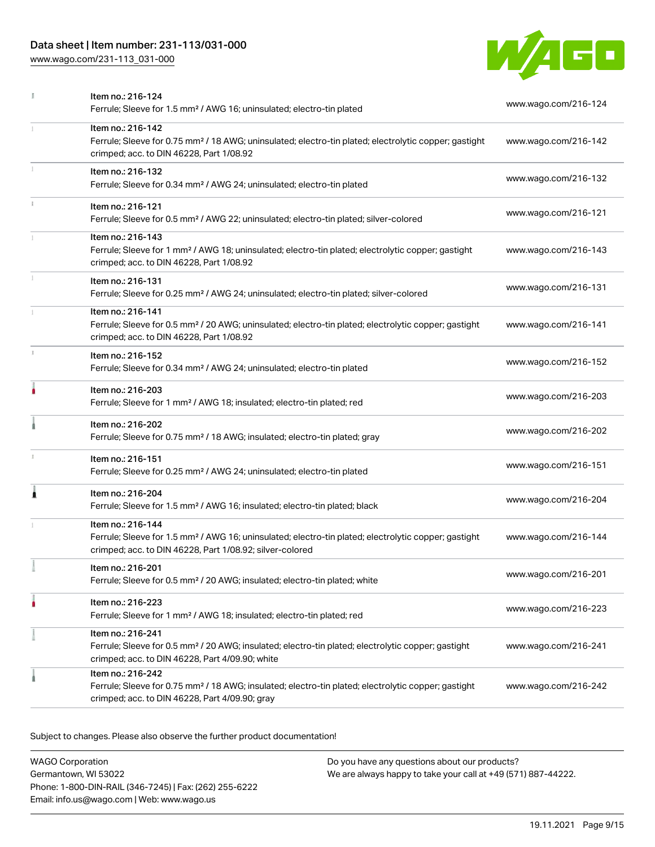## Data sheet | Item number: 231-113/031-000

[www.wago.com/231-113\\_031-000](http://www.wago.com/231-113_031-000)



|    | Item no.: 216-124<br>Ferrule; Sleeve for 1.5 mm <sup>2</sup> / AWG 16; uninsulated; electro-tin plated                                                                                            | www.wago.com/216-124 |
|----|---------------------------------------------------------------------------------------------------------------------------------------------------------------------------------------------------|----------------------|
| 1  | Item no.: 216-142<br>Ferrule; Sleeve for 0.75 mm <sup>2</sup> / 18 AWG; uninsulated; electro-tin plated; electrolytic copper; gastight<br>crimped; acc. to DIN 46228, Part 1/08.92                | www.wago.com/216-142 |
| I. | Item no.: 216-132<br>Ferrule; Sleeve for 0.34 mm <sup>2</sup> / AWG 24; uninsulated; electro-tin plated                                                                                           | www.wago.com/216-132 |
| ī. | Item no.: 216-121<br>Ferrule; Sleeve for 0.5 mm <sup>2</sup> / AWG 22; uninsulated; electro-tin plated; silver-colored                                                                            | www.wago.com/216-121 |
|    | Item no.: 216-143<br>Ferrule; Sleeve for 1 mm <sup>2</sup> / AWG 18; uninsulated; electro-tin plated; electrolytic copper; gastight<br>crimped; acc. to DIN 46228, Part 1/08.92                   | www.wago.com/216-143 |
| I. | Item no.: 216-131<br>Ferrule; Sleeve for 0.25 mm <sup>2</sup> / AWG 24; uninsulated; electro-tin plated; silver-colored                                                                           | www.wago.com/216-131 |
|    | Item no.: 216-141<br>Ferrule; Sleeve for 0.5 mm <sup>2</sup> / 20 AWG; uninsulated; electro-tin plated; electrolytic copper; gastight<br>crimped; acc. to DIN 46228, Part 1/08.92                 | www.wago.com/216-141 |
| s. | Item no.: 216-152<br>Ferrule; Sleeve for 0.34 mm <sup>2</sup> / AWG 24; uninsulated; electro-tin plated                                                                                           | www.wago.com/216-152 |
| ۸  | Item no.: 216-203<br>Ferrule; Sleeve for 1 mm <sup>2</sup> / AWG 18; insulated; electro-tin plated; red                                                                                           | www.wago.com/216-203 |
|    | Item no.: 216-202<br>Ferrule; Sleeve for 0.75 mm <sup>2</sup> / 18 AWG; insulated; electro-tin plated; gray                                                                                       | www.wago.com/216-202 |
|    | Item no.: 216-151<br>Ferrule; Sleeve for 0.25 mm <sup>2</sup> / AWG 24; uninsulated; electro-tin plated                                                                                           | www.wago.com/216-151 |
| 1  | Item no.: 216-204<br>Ferrule; Sleeve for 1.5 mm <sup>2</sup> / AWG 16; insulated; electro-tin plated; black                                                                                       | www.wago.com/216-204 |
|    | Item no.: 216-144<br>Ferrule; Sleeve for 1.5 mm <sup>2</sup> / AWG 16; uninsulated; electro-tin plated; electrolytic copper; gastight<br>crimped; acc. to DIN 46228, Part 1/08.92; silver-colored | www.wago.com/216-144 |
|    | Item no.: 216-201<br>Ferrule; Sleeve for 0.5 mm <sup>2</sup> / 20 AWG; insulated; electro-tin plated; white                                                                                       | www.wago.com/216-201 |
|    | Item no.: 216-223<br>Ferrule; Sleeve for 1 mm <sup>2</sup> / AWG 18; insulated; electro-tin plated; red                                                                                           | www.wago.com/216-223 |
|    | Item no.: 216-241<br>Ferrule; Sleeve for 0.5 mm <sup>2</sup> / 20 AWG; insulated; electro-tin plated; electrolytic copper; gastight<br>crimped; acc. to DIN 46228, Part 4/09.90; white            | www.wago.com/216-241 |
|    | Item no.: 216-242<br>Ferrule; Sleeve for 0.75 mm <sup>2</sup> / 18 AWG; insulated; electro-tin plated; electrolytic copper; gastight<br>crimped; acc. to DIN 46228, Part 4/09.90; gray            | www.wago.com/216-242 |

Subject to changes. Please also observe the further product documentation!

WAGO Corporation Germantown, WI 53022 Phone: 1-800-DIN-RAIL (346-7245) | Fax: (262) 255-6222 Email: info.us@wago.com | Web: www.wago.us Do you have any questions about our products? We are always happy to take your call at +49 (571) 887-44222.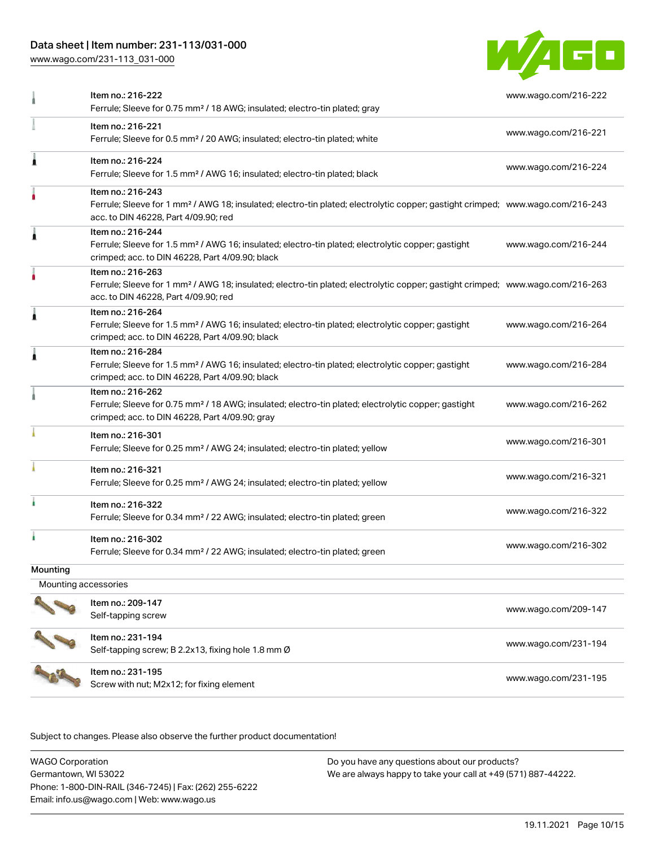## Data sheet | Item number: 231-113/031-000

[www.wago.com/231-113\\_031-000](http://www.wago.com/231-113_031-000)



|                      | Item no.: 216-222<br>Ferrule; Sleeve for 0.75 mm <sup>2</sup> / 18 AWG; insulated; electro-tin plated; gray                                                                                             | www.wago.com/216-222 |
|----------------------|---------------------------------------------------------------------------------------------------------------------------------------------------------------------------------------------------------|----------------------|
|                      | Item no.: 216-221<br>Ferrule; Sleeve for 0.5 mm <sup>2</sup> / 20 AWG; insulated; electro-tin plated; white                                                                                             | www.wago.com/216-221 |
| ٨                    | Item no.: 216-224<br>Ferrule; Sleeve for 1.5 mm <sup>2</sup> / AWG 16; insulated; electro-tin plated; black                                                                                             | www.wago.com/216-224 |
|                      | Item no.: 216-243<br>Ferrule; Sleeve for 1 mm <sup>2</sup> / AWG 18; insulated; electro-tin plated; electrolytic copper; gastight crimped; www.wago.com/216-243<br>acc. to DIN 46228, Part 4/09.90; red |                      |
|                      | Item no.: 216-244<br>Ferrule; Sleeve for 1.5 mm <sup>2</sup> / AWG 16; insulated; electro-tin plated; electrolytic copper; gastight<br>crimped; acc. to DIN 46228, Part 4/09.90; black                  | www.wago.com/216-244 |
|                      | Item no.: 216-263<br>Ferrule; Sleeve for 1 mm <sup>2</sup> / AWG 18; insulated; electro-tin plated; electrolytic copper; gastight crimped; www.wago.com/216-263<br>acc. to DIN 46228, Part 4/09.90; red |                      |
|                      | Item no.: 216-264<br>Ferrule; Sleeve for 1.5 mm <sup>2</sup> / AWG 16; insulated; electro-tin plated; electrolytic copper; gastight<br>crimped; acc. to DIN 46228, Part 4/09.90; black                  | www.wago.com/216-264 |
| A                    | Item no.: 216-284<br>Ferrule; Sleeve for 1.5 mm <sup>2</sup> / AWG 16; insulated; electro-tin plated; electrolytic copper; gastight<br>crimped; acc. to DIN 46228, Part 4/09.90; black                  | www.wago.com/216-284 |
|                      | Item no.: 216-262<br>Ferrule; Sleeve for 0.75 mm <sup>2</sup> / 18 AWG; insulated; electro-tin plated; electrolytic copper; gastight<br>crimped; acc. to DIN 46228, Part 4/09.90; gray                  | www.wago.com/216-262 |
|                      | Item no.: 216-301<br>Ferrule; Sleeve for 0.25 mm <sup>2</sup> / AWG 24; insulated; electro-tin plated; yellow                                                                                           | www.wago.com/216-301 |
|                      | Item no.: 216-321<br>Ferrule; Sleeve for 0.25 mm <sup>2</sup> / AWG 24; insulated; electro-tin plated; yellow                                                                                           | www.wago.com/216-321 |
|                      | Item no.: 216-322<br>Ferrule; Sleeve for 0.34 mm <sup>2</sup> / 22 AWG; insulated; electro-tin plated; green                                                                                            | www.wago.com/216-322 |
|                      | Item no.: 216-302<br>Ferrule; Sleeve for 0.34 mm <sup>2</sup> / 22 AWG; insulated; electro-tin plated; green                                                                                            | www.wago.com/216-302 |
| Mounting             |                                                                                                                                                                                                         |                      |
| Mounting accessories |                                                                                                                                                                                                         |                      |
|                      | Item no.: 209-147<br>Self-tapping screw                                                                                                                                                                 | www.wago.com/209-147 |
|                      | Item no.: 231-194<br>Self-tapping screw; B 2.2x13, fixing hole 1.8 mm Ø                                                                                                                                 | www.wago.com/231-194 |
|                      | Item no.: 231-195<br>Screw with nut; M2x12; for fixing element                                                                                                                                          | www.wago.com/231-195 |

Subject to changes. Please also observe the further product documentation!

WAGO Corporation Germantown, WI 53022 Phone: 1-800-DIN-RAIL (346-7245) | Fax: (262) 255-6222 Email: info.us@wago.com | Web: www.wago.us Do you have any questions about our products? We are always happy to take your call at +49 (571) 887-44222.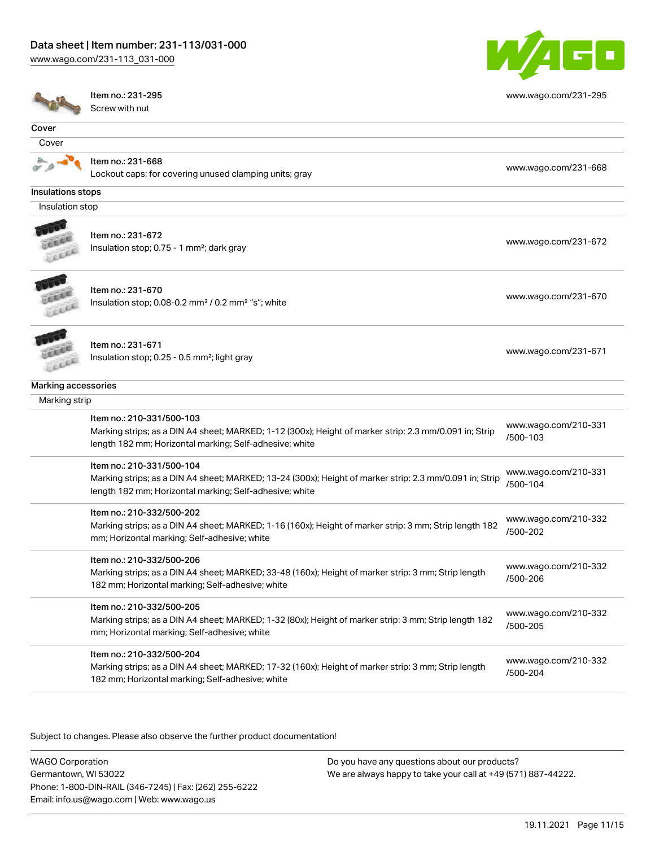#### Data sheet | Item number: 231-113/031-000

[www.wago.com/231-113\\_031-000](http://www.wago.com/231-113_031-000)



|                     | Item no.: 231-295                                                                                                                                                 | www.wago.com/231-295             |
|---------------------|-------------------------------------------------------------------------------------------------------------------------------------------------------------------|----------------------------------|
|                     | Screw with nut                                                                                                                                                    |                                  |
| Cover               |                                                                                                                                                                   |                                  |
| Cover               |                                                                                                                                                                   |                                  |
|                     | Item no.: 231-668                                                                                                                                                 |                                  |
|                     | Lockout caps; for covering unused clamping units; gray                                                                                                            | www.wago.com/231-668             |
| Insulations stops   |                                                                                                                                                                   |                                  |
| Insulation stop     |                                                                                                                                                                   |                                  |
|                     |                                                                                                                                                                   |                                  |
|                     | Item no.: 231-672                                                                                                                                                 | www.wago.com/231-672             |
|                     | Insulation stop; 0.75 - 1 mm <sup>2</sup> ; dark gray                                                                                                             |                                  |
|                     | ltem no.: 231-670                                                                                                                                                 |                                  |
|                     | Insulation stop; 0.08-0.2 mm <sup>2</sup> / 0.2 mm <sup>2</sup> "s"; white                                                                                        | www.wago.com/231-670             |
|                     |                                                                                                                                                                   |                                  |
|                     | Item no.: 231-671                                                                                                                                                 |                                  |
|                     | Insulation stop; 0.25 - 0.5 mm <sup>2</sup> ; light gray                                                                                                          | www.wago.com/231-671             |
| Marking accessories |                                                                                                                                                                   |                                  |
| Marking strip       |                                                                                                                                                                   |                                  |
|                     | Item no.: 210-331/500-103                                                                                                                                         |                                  |
|                     | Marking strips; as a DIN A4 sheet; MARKED; 1-12 (300x); Height of marker strip: 2.3 mm/0.091 in; Strip<br>length 182 mm; Horizontal marking; Self-adhesive; white | www.wago.com/210-331<br>/500-103 |
|                     | Item no.: 210-331/500-104                                                                                                                                         |                                  |
|                     | Marking strips; as a DIN A4 sheet; MARKED; 13-24 (300x); Height of marker strip: 2.3 mm/0.091 in; Strip                                                           | www.wago.com/210-331<br>/500-104 |
|                     | length 182 mm; Horizontal marking; Self-adhesive; white                                                                                                           |                                  |
|                     | Item no.: 210-332/500-202                                                                                                                                         |                                  |
|                     | Marking strips; as a DIN A4 sheet; MARKED; 1-16 (160x); Height of marker strip: 3 mm; Strip length 182                                                            | www.wago.com/210-332<br>/500-202 |
|                     | mm; Horizontal marking; Self-adhesive; white                                                                                                                      |                                  |
|                     | Item no.: 210-332/500-206                                                                                                                                         |                                  |
|                     | Marking strips; as a DIN A4 sheet; MARKED; 33-48 (160x); Height of marker strip: 3 mm; Strip length                                                               | www.wago.com/210-332<br>/500-206 |
|                     | 182 mm; Horizontal marking; Self-adhesive; white                                                                                                                  |                                  |
|                     | Item no.: 210-332/500-205                                                                                                                                         |                                  |
|                     | Marking strips; as a DIN A4 sheet; MARKED; 1-32 (80x); Height of marker strip: 3 mm; Strip length 182                                                             | www.wago.com/210-332<br>/500-205 |
|                     | mm; Horizontal marking; Self-adhesive; white                                                                                                                      |                                  |
|                     | Item no.: 210-332/500-204                                                                                                                                         | www.wago.com/210-332             |
|                     | Marking strips; as a DIN A4 sheet; MARKED; 17-32 (160x); Height of marker strip: 3 mm; Strip length                                                               | /500-204                         |
|                     | 182 mm; Horizontal marking; Self-adhesive; white                                                                                                                  |                                  |
|                     |                                                                                                                                                                   |                                  |

.<br>Subject to changes. Please also observe the further product documentation!

WAGO Corporation Germantown, WI 53022 Phone: 1-800-DIN-RAIL (346-7245) | Fax: (262) 255-6222 Email: info.us@wago.com | Web: www.wago.us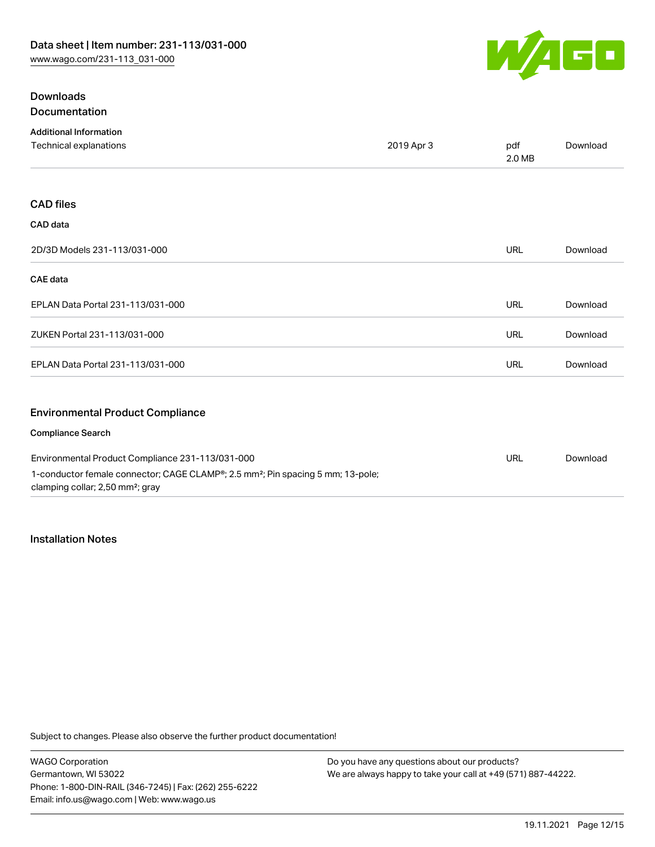

## **Downloads** Documentation

| <b>Additional Information</b>                    |            |               |                 |
|--------------------------------------------------|------------|---------------|-----------------|
| Technical explanations                           | 2019 Apr 3 | pdf<br>2.0 MB | Download        |
|                                                  |            |               |                 |
| <b>CAD files</b>                                 |            |               |                 |
| CAD data                                         |            |               |                 |
| 2D/3D Models 231-113/031-000                     |            | <b>URL</b>    | Download        |
| <b>CAE</b> data                                  |            |               |                 |
| EPLAN Data Portal 231-113/031-000                |            | <b>URL</b>    | Download        |
| ZUKEN Portal 231-113/031-000                     |            | <b>URL</b>    | Download        |
| EPLAN Data Portal 231-113/031-000                |            | <b>URL</b>    | Download        |
| <b>Environmental Product Compliance</b>          |            |               |                 |
| <b>Compliance Search</b>                         |            |               |                 |
| Environmental Product Compliance 221-112/021-000 |            | 1D            | <b>Download</b> |

Environmental Product Compliance 231-113/031-000 1-conductor female connector; CAGE CLAMP®; 2.5 mm²; Pin spacing 5 mm; 13-pole; clamping collar; 2,50 mm²; gray URL [Download](https://www.wago.com/global/d/ComplianceLinkMediaContainer_231-113_031-000)

#### Installation Notes

Subject to changes. Please also observe the further product documentation!

WAGO Corporation Germantown, WI 53022 Phone: 1-800-DIN-RAIL (346-7245) | Fax: (262) 255-6222 Email: info.us@wago.com | Web: www.wago.us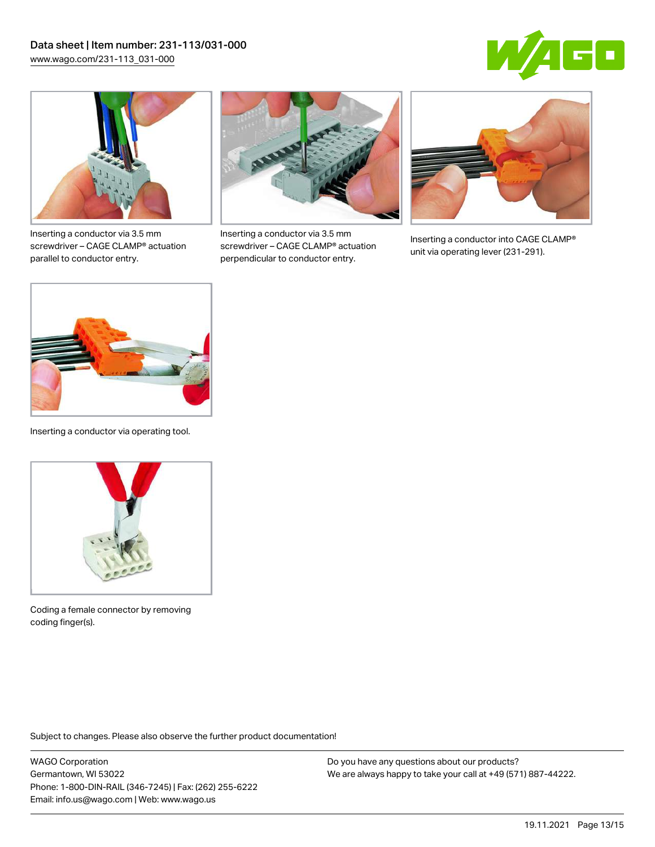



Inserting a conductor via 3.5 mm screwdriver – CAGE CLAMP® actuation parallel to conductor entry.



Inserting a conductor via 3.5 mm screwdriver – CAGE CLAMP® actuation perpendicular to conductor entry.



Inserting a conductor into CAGE CLAMP® unit via operating lever (231-291).



Inserting a conductor via operating tool.



Coding a female connector by removing coding finger(s).

Subject to changes. Please also observe the further product documentation!

WAGO Corporation Germantown, WI 53022 Phone: 1-800-DIN-RAIL (346-7245) | Fax: (262) 255-6222 Email: info.us@wago.com | Web: www.wago.us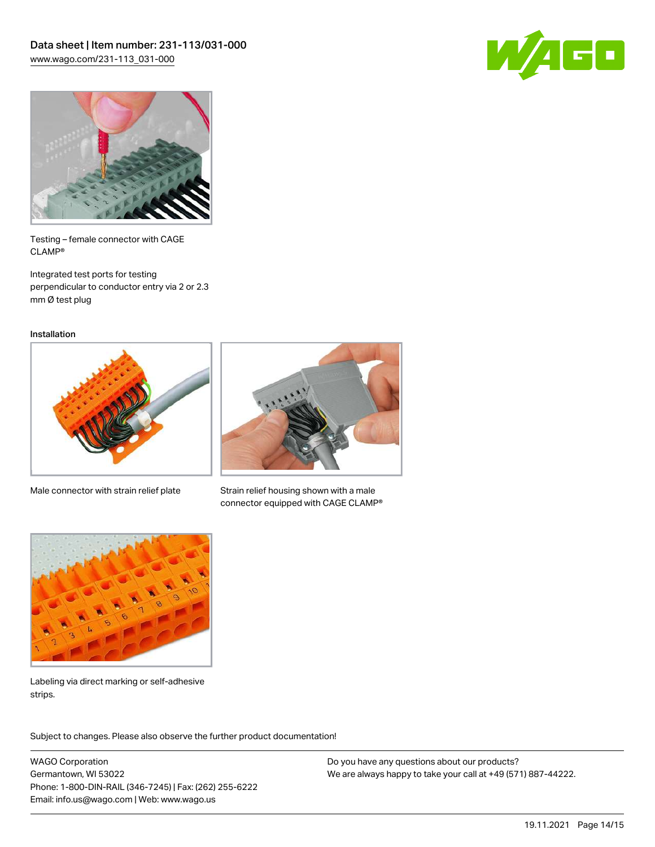



Testing – female connector with CAGE CLAMP®

Integrated test ports for testing perpendicular to conductor entry via 2 or 2.3 mm Ø test plug

Installation



Male connector with strain relief plate



Strain relief housing shown with a male connector equipped with CAGE CLAMP®



Labeling via direct marking or self-adhesive strips.

Subject to changes. Please also observe the further product documentation! Product family

WAGO Corporation Germantown, WI 53022 Phone: 1-800-DIN-RAIL (346-7245) | Fax: (262) 255-6222 Email: info.us@wago.com | Web: www.wago.us